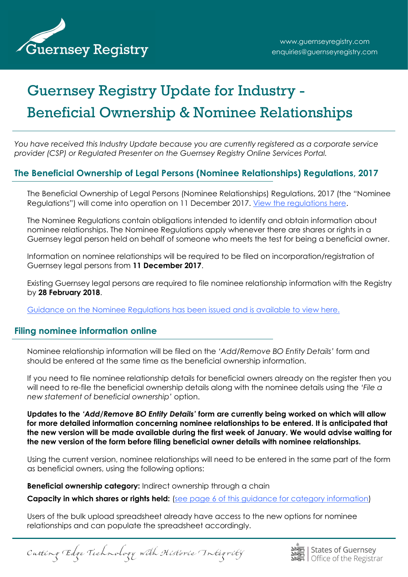

# Guernsey Registry Update for Industry - Beneficial Ownership & Nominee Relationships

*You have received this Industry Update because you are currently registered as a corporate service provider (CSP) or Regulated Presenter on the Guernsey Registry Online Services Portal.*

# **The Beneficial Ownership of Legal Persons (Nominee Relationships) Regulations, 2017**

The Beneficial Ownership of Legal Persons (Nominee Relationships) Regulations, 2017 (the "Nominee Regulations") will come into operation on 11 December 2017. [View the regulations here.](http://www.guernseylegalresources.gg/article/162878/No-102---The-Beneficial-Ownership-of-Legal-Persons-Nominee-Relationships-Regulations-2017)

The Nominee Regulations contain obligations intended to identify and obtain information about nominee relationships. The Nominee Regulations apply whenever there are shares or rights in a Guernsey legal person held on behalf of someone who meets the test for being a beneficial owner.

Information on nominee relationships will be required to be filed on incorporation/registration of Guernsey legal persons from **11 December 2017**.

Existing Guernsey legal persons are required to file nominee relationship information with the Registry by **28 February 2018**.

[Guidance on the Nominee Regulations has been issued and is available to view here.](http://guernseyregistry.com/CHttpHandler.ashx?id=111126&p=0)

## **Filing nominee information online**

Nominee relationship information will be filed on the *'Add/Remove BO Entity Details'* form and should be entered at the same time as the beneficial ownership information.

If you need to file nominee relationship details for beneficial owners already on the register then you will need to re-file the beneficial ownership details along with the nominee details using the *'File a new statement of beneficial ownership'* option.

**Updates to the** *'Add/Remove BO Entity Details'* **form are currently being worked on which will allow for more detailed information concerning nominee relationships to be entered. It is anticipated that the new version will be made available during the first week of January. We would advise waiting for the new version of the form before filing beneficial owner details with nominee relationships.**

Using the current version, nominee relationships will need to be entered in the same part of the form as beneficial owners, using the following options:

**Beneficial ownership category:** Indirect ownership through a chain

**Capacity in which shares or rights held:** [\(see page 6 of this guidance for category information\)](http://guernseyregistry.com/CHttpHandler.ashx?id=109273&p=0)

Users of the bulk upload spreadsheet already have access to the new options for nominee relationships and can populate the spreadsheet accordingly.

Cutting Edge Technology with Historic Integrity